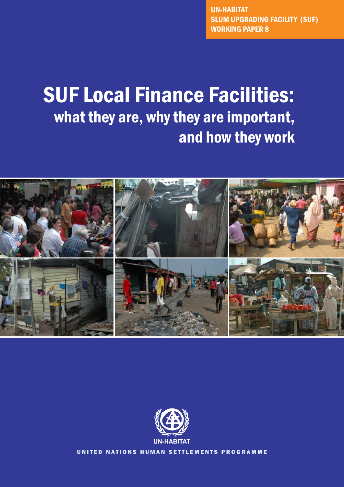UN-HABITAT Slum Upgrading Facility (SUF) working paper 8

# SUF Local Finance Facilities: what they are, why they are important, and how they work





UNITED NATIONS HUMAN SETTLEMENTS PROGRAMME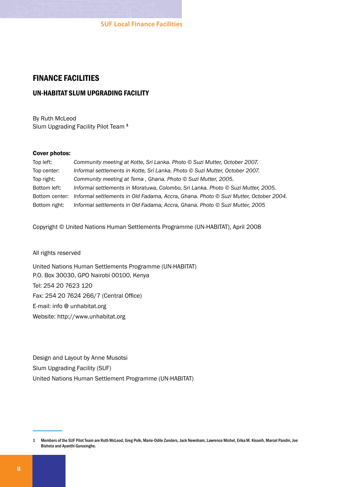#### finance facilities

#### UN-HABITAT slum upgrading facility

By Ruth McLeod Slum Upgrading Facility Pilot Team<sup>1</sup>

#### Cover photos:

| Top left:      | Community meeting at Kotte, Sri Lanka. Photo © Suzi Mutter, October 2007.            |
|----------------|--------------------------------------------------------------------------------------|
| Top center:    | Informal settlements in Kotte, Sri Lanka. Photo © Suzi Mutter, October 2007.         |
| Top right:     | Community meeting at Tema, Ghana. Photo © Suzi Mutter, 2005.                         |
| Bottom left:   | Informal settlements in Moratuwa, Colombo, Sri Lanka. Photo © Suzi Mutter, 2005.     |
| Bottom center: | Informal settlements in Old Fadama, Accra, Ghana. Photo © Suzi Mutter, October 2004. |
| Bottom right:  | Informal settlements in Old Fadama, Accra, Ghana. Photo © Suzi Mutter, 2005          |

Copyright © United Nations Human Settlements Programme (UN-HABITAT), April 2008

All rights reserved

United Nations Human Settlements Programme (UN-HABITAT) P.O. Box 30030, GPO Nairobi 00100, Kenya Tel: 254 20 7623 120 Fax: 254 20 7624 266/7 (Central Office) E-mail: info @ unhabitat.org Website: http://www.unhabitat.org

Design and Layout by Anne Musotsi Slum Upgrading Facility (SUF) United Nations Human Settlement Programme (UN-HABITAT)

<sup>1</sup> Members of the SUF Pilot Team are Ruth McLeod, Greg Polk, Marie-Odile Zanders, Jack Newnham, Lawrence Michel, Erika M. Kisseih, Marcel Pandin, Joe Bishota and Ayanthi Gurusinghe.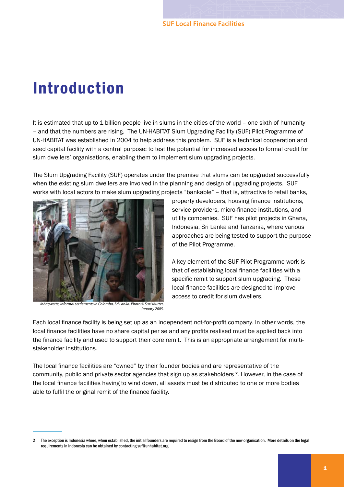## Introduction

It is estimated that up to 1 billion people live in slums in the cities of the world - one sixth of humanity – and that the numbers are rising. The UN-HABITAT Slum Upgrading Facility (SUF) Pilot Programme of UN-HABITAT was established in 2004 to help address this problem. SUF is a technical cooperation and seed capital facility with a central purpose: to test the potential for increased access to formal credit for slum dwellers' organisations, enabling them to implement slum upgrading projects.

The Slum Upgrading Facility (SUF) operates under the premise that slums can be upgraded successfully when the existing slum dwellers are involved in the planning and design of upgrading projects. SUF works with local actors to make slum upgrading projects "bankable" – that is, attractive to retail banks,



*Ibbagwette, informal settlements in Colombo, Sri Lanka. Photo © Suzi Mutter, January 2005.*

property developers, housing finance institutions, service providers, micro-finance institutions, and utility companies. SUF has pilot projects in Ghana, Indonesia, Sri Lanka and Tanzania, where various approaches are being tested to support the purpose of the Pilot Programme.

A key element of the SUF Pilot Programme work is that of establishing local finance facilities with a specific remit to support slum upgrading. These local finance facilities are designed to improve access to credit for slum dwellers.

Each local finance facility is being set up as an independent not-for-profit company. In other words, the local finance facilities have no share capital per se and any profits realised must be applied back into the finance facility and used to support their core remit. This is an appropriate arrangement for multistakeholder institutions.

The local finance facilities are "owned" by their founder bodies and are representative of the community, public and private sector agencies that sign up as stakeholders <sup>2</sup>. However, in the case of the local finance facilities having to wind down, all assets must be distributed to one or more bodies able to fulfil the original remit of the finance facility.

The exception isIndonesia where, when established, the initial founders are required to resign from the Board of the new organisation. More details on the legal requirements in Indonesia can be obtained by contacting suf@unhabitat.org.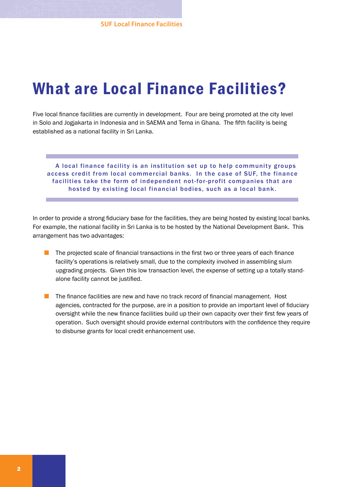## What are Local Finance Facilities?

Five local finance facilities are currently in development. Four are being promoted at the city level in Solo and Jogjakarta in Indonesia and in SAEMA and Tema in Ghana. The fifth facility is being established as a national facility in Sri Lanka.

A local finance facility is an institution set up to help community groups access credit from local commercial banks. In the case of SUF, the finance facilities take the form of independent not-for-profit companies that are hosted by existing local financial bodies, such as a local bank.

In order to provide a strong fiduciary base for the facilities, they are being hosted by existing local banks. For example, the national facility in Sri Lanka is to be hosted by the National Development Bank. This arrangement has two advantages:

- The projected scale of financial transactions in the first two or three years of each finance facility's operations is relatively small, due to the complexity involved in assembling slum upgrading projects. Given this low transaction level, the expense of setting up a totally standalone facility cannot be justified.  $\mathcal{L}_{\mathrm{max}}$
- $\blacksquare$  The finance facilities are new and have no track record of financial management. Host agencies, contracted for the purpose, are in a position to provide an important level of fiduciary oversight while the new finance facilities build up their own capacity over their first few years of operation. Such oversight should provide external contributors with the confidence they require to disburse grants for local credit enhancement use.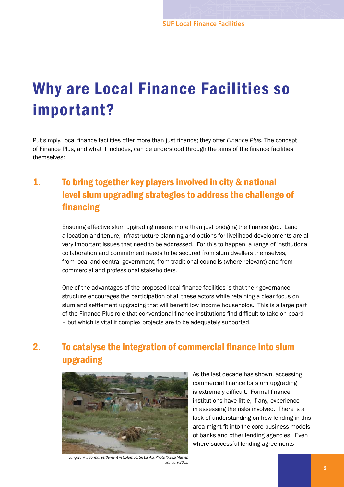# Why are Local Finance Facilities so important?

Put simply, local finance facilities offer more than just finance; they offer *Finance Plus.* The concept of Finance Plus, and what it includes, can be understood through the aims of the finance facilities themselves:

## 1. To bring together key players involved in city & national level slum upgrading strategies to address the challenge of financing

Ensuring effective slum upgrading means more than just bridging the finance gap. Land allocation and tenure, infrastructure planning and options for livelihood developments are all very important issues that need to be addressed. For this to happen, a range of institutional collaboration and commitment needs to be secured from slum dwellers themselves, from local and central government, from traditional councils (where relevant) and from commercial and professional stakeholders.

One of the advantages of the proposed local finance facilities is that their governance structure encourages the participation of all these actors while retaining a clear focus on slum and settlement upgrading that will benefit low income households. This is a large part of the Finance Plus role that conventional finance institutions find difficult to take on board – but which is vital if complex projects are to be adequately supported.

## 2. To catalyse the integration of commercial finance into slum upgrading



As the last decade has shown, accessing commercial finance for slum upgrading is extremely difficult. Formal finance institutions have little, if any, experience in assessing the risks involved. There is a lack of understanding on how lending in this area might fit into the core business models of banks and other lending agencies. Even where successful lending agreements

*Jangwani, informal settlement in Colombo, Sri Lanka. Photo © Suzi Mutter, January 2005.*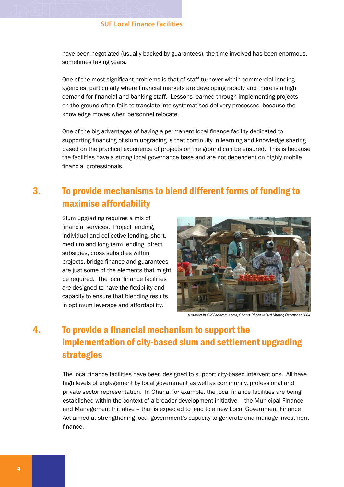have been negotiated (usually backed by guarantees), the time involved has been enormous, sometimes taking years.

One of the most significant problems is that of staff turnover within commercial lending agencies, particularly where financial markets are developing rapidly and there is a high demand for financial and banking staff. Lessons learned through implementing projects on the ground often fails to translate into systematised delivery processes, because the knowledge moves when personnel relocate.

One of the big advantages of having a permanent local finance facility dedicated to supporting financing of slum upgrading is that continuity in learning and knowledge sharing based on the practical experience of projects on the ground can be ensured. This is because the facilities have a strong local governance base and are not dependent on highly mobile financial professionals.

### 3. To provide mechanisms to blend different forms of funding to maximise affordability

Slum upgrading requires a mix of financial services. Project lending. individual and collective lending, short, medium and long term lending, direct subsidies, cross subsidies within projects, bridge finance and guarantees are just some of the elements that might be required. The local finance facilities are designed to have the flexibility and capacity to ensure that blending results in optimum leverage and affordability.



*A market in Old Fadama, Accra, Ghana. Photo © Suzi Mutter, December 2004.*

## 4. To provide a financial mechanism to support the implementation of city-based slum and settlement upgrading strategies

The local finance facilities have been designed to support city-based interventions. All have high levels of engagement by local government as well as community, professional and private sector representation. In Ghana, for example, the local finance facilities are being established within the context of a broader development initiative – the Municipal Finance and Management Initiative – that is expected to lead to a new Local Government Finance Act aimed at strengthening local government's capacity to generate and manage investment finance.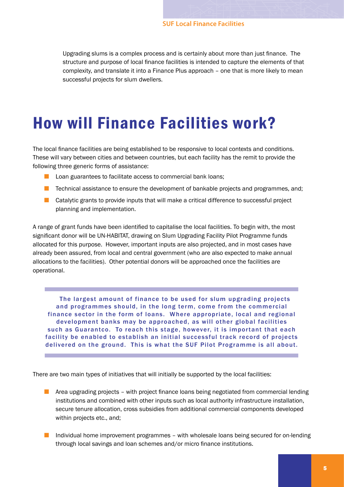Upgrading slums is a complex process and is certainly about more than just finance. The structure and purpose of local finance facilities is intended to capture the elements of that complexity, and translate it into a Finance Plus approach – one that is more likely to mean successful projects for slum dwellers.

## How will Finance Facilities work?

The local finance facilities are being established to be responsive to local contexts and conditions. These will vary between cities and between countries, but each facility has the remit to provide the following three generic forms of assistance:

- **Lack** Loan guarantees to facilitate access to commercial bank loans;
- **The Technical assistance to ensure the development of bankable projects and programmes, and;**
- **Catalytic grants to provide inputs that will make a critical difference to successful project** planning and implementation.

A range of grant funds have been identified to capitalise the local facilities. To begin with, the most significant donor will be UN-HABITAT, drawing on Slum Upgrading Facility Pilot Programme funds allocated for this purpose. However, important inputs are also projected, and in most cases have already been assured, from local and central government (who are also expected to make annual allocations to the facilities). Other potential donors will be approached once the facilities are operational.

The largest amount of finance to be used for slum upgrading projects and programmes should, in the long term, come from the commercial finance sector in the form of loans. Where appropriate, local and regional development banks may be approached, as will other global facilities such as Guarantco. To reach this stage, however, it is important that each facility be enabled to establish an initial successful track record of projects delivered on the ground. This is what the SUF Pilot Programme is all about.

There are two main types of initiatives that will initially be supported by the local facilities:

- **Area upgrading projects with project finance loans being negotiated from commercial lending** institutions and combined with other inputs such as local authority infrastructure installation, secure tenure allocation, cross subsidies from additional commercial components developed within projects etc., and;
- **Individual home improvement programmes with wholesale loans being secured for on-lending** through local savings and loan schemes and/or micro finance institutions.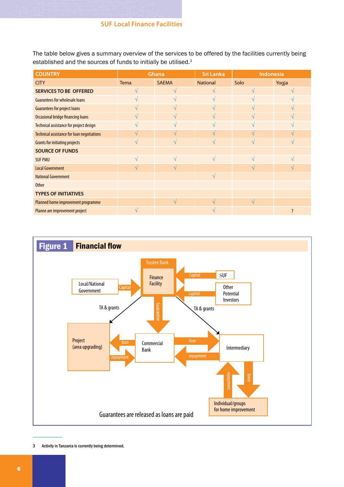The table below gives a summary overview of the services to be offered by the facilities currently being established and the sources of funds to initially be utilised.<sup>3</sup>

| <b>COUNTRY</b>                                    | Ghana         |              | <b>Sri Lanka</b> | Indonesia |       |
|---------------------------------------------------|---------------|--------------|------------------|-----------|-------|
| <b>CITY</b>                                       | <b>Tema</b>   | <b>SAEMA</b> | <b>National</b>  | Solo      | Yogja |
| <b>SERVICES TO BE OFFERED</b>                     |               |              |                  |           |       |
| <b>Guarantees for wholesale loans</b>             |               |              | $\Delta$         |           |       |
| <b>Guarantees for project loans</b>               |               |              | $\Delta$         |           |       |
| <b>Occasional bridge financing loans</b>          |               | ٦Ι           | $\mathcal{N}$    |           |       |
| Technical assistance for project design           |               | اد           | $\mathcal{N}$    | اد        |       |
| <b>Technical assistance for loan negotiations</b> |               |              | $\Delta$         |           |       |
| <b>Grants for initiating projects</b>             |               |              |                  |           |       |
| <b>SOURCE OF FUNDS</b>                            |               |              |                  |           |       |
| <b>SUF PMU</b>                                    |               |              | $\mathcal{N}$    |           |       |
| <b>Local Government</b>                           | $\mathcal{N}$ | N            |                  | N         |       |
| <b>National Government</b>                        |               |              | $\sqrt{ }$       |           |       |
| <b>Other</b>                                      |               |              |                  |           |       |
| <b>TYPES OF INITIATIVES</b>                       |               |              |                  |           |       |
| Planned home improvement programme                |               |              |                  |           |       |
| Planne are improvement project                    |               |              |                  |           |       |



 Activity in Tanzania is currently being determined.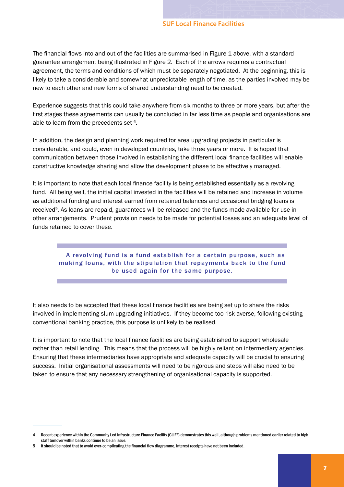The financial flows into and out of the facilities are summarised in Figure 1 above, with a standard guarantee arrangement being illustrated in Figure 2. Each of the arrows requires a contractual agreement, the terms and conditions of which must be separately negotiated. At the beginning, this is likely to take a considerable and somewhat unpredictable length of time, as the parties involved may be new to each other and new forms of shared understanding need to be created.

Experience suggests that this could take anywhere from six months to three or more years, but after the first stages these agreements can usually be concluded in far less time as people and organisations are able to learn from the precedents set 4.

In addition, the design and planning work required for area upgrading projects in particular is considerable, and could, even in developed countries, take three years or more. It is hoped that communication between those involved in establishing the different local finance facilities will enable constructive knowledge sharing and allow the development phase to be effectively managed.

It is important to note that each local finance facility is being established essentially as a revolving fund. All being well, the initial capital invested in the facilities will be retained and increase in volume as additional funding and interest earned from retained balances and occasional bridging loans is received<sup>5</sup>. As loans are repaid, guarantees will be released and the funds made available for use in other arrangements. Prudent provision needs to be made for potential losses and an adequate level of funds retained to cover these.

#### A revolving fund is a fund establish for a certain purpose, such as making loans, with the stipulation that repayments back to the fund be used again for the same purpose.

It also needs to be accepted that these local finance facilities are being set up to share the risks involved in implementing slum upgrading initiatives. If they become too risk averse, following existing conventional banking practice, this purpose is unlikely to be realised.

It is important to note that the local finance facilities are being established to support wholesale rather than retail lending. This means that the process will be highly reliant on intermediary agencies. Ensuring that these intermediaries have appropriate and adequate capacity will be crucial to ensuring success. Initial organisational assessments will need to be rigorous and steps will also need to be taken to ensure that any necessary strengthening of organisational capacity is supported.

Recent experience within the Community Led Infrastructure Finance Facility (CLIFF) demonstratesthis well, although problems mentioned earlier related to high staff turnover within banks continue to be an issue.

Itshould be noted that to avoid over-complicating the financial flow diagramme, interest receipts have not been included.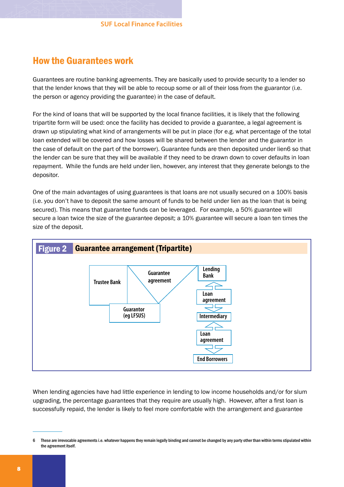#### How the Guarantees work

Guarantees are routine banking agreements. They are basically used to provide security to a lender so that the lender knows that they will be able to recoup some or all of their loss from the guarantor (i.e. the person or agency providing the guarantee) in the case of default.

For the kind of loans that will be supported by the local finance facilities, it is likely that the following tripartite form will be used: once the facility has decided to provide a guarantee, a legal agreement is drawn up stipulating what kind of arrangements will be put in place (for e.g. what percentage of the total loan extended will be covered and how losses will be shared between the lender and the guarantor in the case of default on the part of the borrower). Guarantee funds are then deposited under lien6 so that the lender can be sure that they will be available if they need to be drawn down to cover defaults in loan repayment. While the funds are held under lien, however, any interest that they generate belongs to the depositor.

One of the main advantages of using guarantees is that loans are not usually secured on a 100% basis (i.e. you don't have to deposit the same amount of funds to be held under lien as the loan that is being secured). This means that guarantee funds can be leveraged. For example, a 50% guarantee will secure a loan twice the size of the guarantee deposit; a 10% guarantee will secure a loan ten times the size of the deposit.



When lending agencies have had little experience in lending to low income households and/or for slum upgrading, the percentage guarantees that they require are usually high. However, after a first loan is successfully repaid, the lender is likely to feel more comfortable with the arrangement and guarantee

These are irrevocable agreementsi.e. whatever happensthey remain legally binding and cannot be changed by any party other than within termsstipulated within the agreement itself.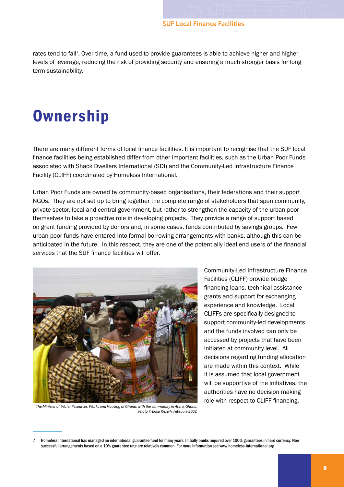rates tend to fall<sup>7</sup>. Over time, a fund used to provide guarantees is able to achieve higher and higher levels of leverage, reducing the risk of providing security and ensuring a much stronger basis for long term sustainability.

## **Ownership**

There are many different forms of local finance facilities. It is important to recognise that the SUF local finance facilities being established differ from other important facilities, such as the Urban Poor Funds associated with Shack Dwellers International (SDI) and the Community-Led Infrastructure Finance Facility (CLIFF) coordinated by Homeless International.

Urban Poor Funds are owned by community-based organisations, their federations and their support NGOs. They are not set up to bring together the complete range of stakeholders that span community, private sector, local and central government, but rather to strengthen the capacity of the urban poor themselves to take a proactive role in developing projects. They provide a range of support based on grant funding provided by donors and, in some cases, funds contributed by savings groups. Few urban poor funds have entered into formal borrowing arrangements with banks, although this can be anticipated in the future. In this respect, they are one of the potentially ideal end users of the financial services that the SUF finance facilities will offer.



*The Minister of Water Resources, Works and Housing of Ghana, with the community in Accra, Ghana. Photo © Erika Kisseih, February 2008.*

Community-Led Infrastructure Finance Facilities (CLIFF) provide bridge financing loans, technical assistance grants and support for exchanging experience and knowledge. Local CLIFFs are specifically designed to support community-led developments and the funds involved can only be accessed by projects that have been initiated at community level. All decisions regarding funding allocation are made within this context. While it is assumed that local government will be supportive of the initiatives, the authorities have no decision making role with respect to CLIFF financing.

Homeless International has managed an international guarantee fund for many years. Initially banks required over 100% guarantees in hard currency. Now successful arrangements based on a 10% guarantee rate are relatively common. For more information see www.homeless-international.org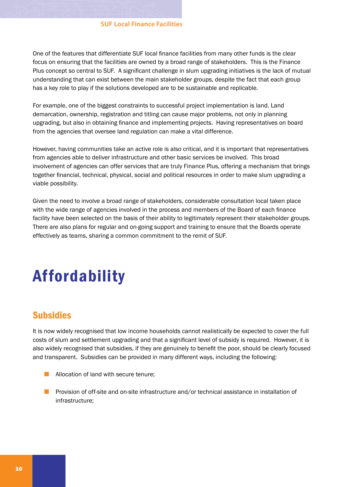One of the features that differentiate SUF local finance facilities from many other funds is the clear focus on ensuring that the facilities are owned by a broad range of stakeholders. This is the Finance Plus concept so central to SUF. A significant challenge in slum upgrading initiatives is the lack of mutual understanding that can exist between the main stakeholder groups, despite the fact that each group has a key role to play if the solutions developed are to be sustainable and replicable.

For example, one of the biggest constraints to successful project implementation is land. Land demarcation, ownership, registration and titling can cause major problems, not only in planning upgrading, but also in obtaining finance and implementing projects. Having representatives on board from the agencies that oversee land regulation can make a vital difference.

However, having communities take an active role is also critical, and it is important that representatives from agencies able to deliver infrastructure and other basic services be involved. This broad involvement of agencies can offer services that are truly Finance Plus, offering a mechanism that brings together financial, technical, physical, social and political resources in order to make slum upgrading a viable possibility.

Given the need to involve a broad range of stakeholders, considerable consultation local taken place with the wide range of agencies involved in the process and members of the Board of each finance facility have been selected on the basis of their ability to legitimately represent their stakeholder groups. There are also plans for regular and on-going support and training to ensure that the Boards operate effectively as teams, sharing a common commitment to the remit of SUF.

# Affordability

#### Subsidies

It is now widely recognised that low income households cannot realistically be expected to cover the full costs of slum and settlement upgrading and that a significant level of subsidy is required. However, it is also widely recognised that subsidies, if they are genuinely to benefit the poor, should be clearly focused and transparent. Subsidies can be provided in many different ways, including the following:

- **Allocation of land with secure tenure;**
- **Provision of off-site and on-site infrastructure and/or technical assistance in installation of** infrastructure;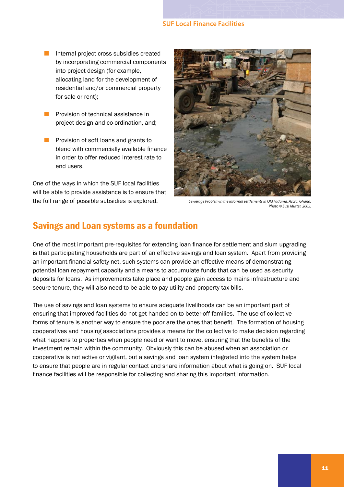- Internal project cross subsidies created by incorporating commercial components into project design (for example, allocating land for the development of residential and/or commercial property for sale or rent);  $\mathbb{Z}^2$
- **Provision of technical assistance in** project design and co-ordination, and;
- **Provision of soft loans and grants to** blend with commercially available finance in order to offer reduced interest rate to end users.

One of the ways in which the SUF local facilities will be able to provide assistance is to ensure that the full range of possible subsidies is explored.



*Sewerage Problem in the informal settlements in Old Fadama, Accra, Ghana. Photo © Suzi Mutter, 2005.*

#### Savings and Loan systems as a foundation

One of the most important pre-requisites for extending loan finance for settlement and slum upgrading is that participating households are part of an effective savings and loan system. Apart from providing an important financial safety net, such systems can provide an effective means of demonstrating potential loan repayment capacity and a means to accumulate funds that can be used as security deposits for loans. As improvements take place and people gain access to mains infrastructure and secure tenure, they will also need to be able to pay utility and property tax bills.

The use of savings and loan systems to ensure adequate livelihoods can be an important part of ensuring that improved facilities do not get handed on to better-off families. The use of collective forms of tenure is another way to ensure the poor are the ones that benefit. The formation of housing cooperatives and housing associations provides a means for the collective to make decision regarding what happens to properties when people need or want to move, ensuring that the benefits of the investment remain within the community. Obviously this can be abused when an association or cooperative is not active or vigilant, but a savings and loan system integrated into the system helps to ensure that people are in regular contact and share information about what is going on. SUF local finance facilities will be responsible for collecting and sharing this important information.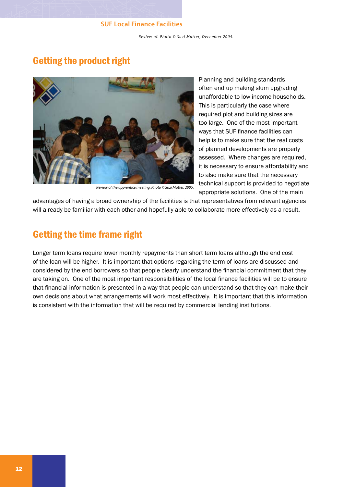*Review of. Photo* © Suzi Mutter, December 2004.

### Getting the product right



*Review of the apprentice meeting. Photo © Suzi Mutter, 2005.*

Planning and building standards often end up making slum upgrading unaffordable to low income households. This is particularly the case where required plot and building sizes are too large. One of the most important ways that SUF finance facilities can help is to make sure that the real costs of planned developments are properly assessed. Where changes are required, it is necessary to ensure affordability and to also make sure that the necessary technical support is provided to negotiate appropriate solutions. One of the main

advantages of having a broad ownership of the facilities is that representatives from relevant agencies will already be familiar with each other and hopefully able to collaborate more effectively as a result.

#### Getting the time frame right

Longer term loans require lower monthly repayments than short term loans although the end cost of the loan will be higher. It is important that options regarding the term of loans are discussed and considered by the end borrowers so that people clearly understand the financial commitment that they are taking on. One of the most important responsibilities of the local finance facilities will be to ensure that financial information is presented in a way that people can understand so that they can make their own decisions about what arrangements will work most effectively. It is important that this information is consistent with the information that will be required by commercial lending institutions*.*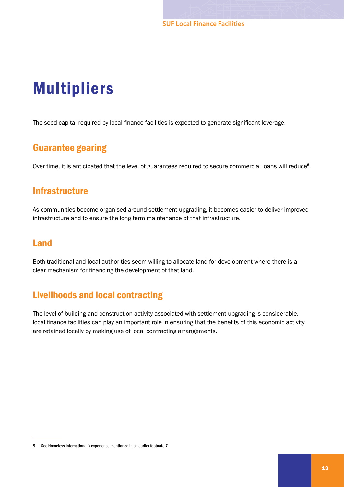## Multipliers

The seed capital required by local finance facilities is expected to generate significant leverage.

#### Guarantee gearing

Over time, it is anticipated that the level of guarantees required to secure commercial loans will reduce<sup>8</sup>.

#### **Infrastructure**

As communities become organised around settlement upgrading, it becomes easier to deliver improved infrastructure and to ensure the long term maintenance of that infrastructure.

#### Land

Both traditional and local authorities seem willing to allocate land for development where there is a clear mechanism for financing the development of that land.

### Livelihoods and local contracting

The level of building and construction activity associated with settlement upgrading is considerable. local finance facilities can play an important role in ensuring that the benefits of this economic activity are retained locally by making use of local contracting arrangements.

<sup>8</sup> See Homeless International's experience mentioned in an earlier footnote 7.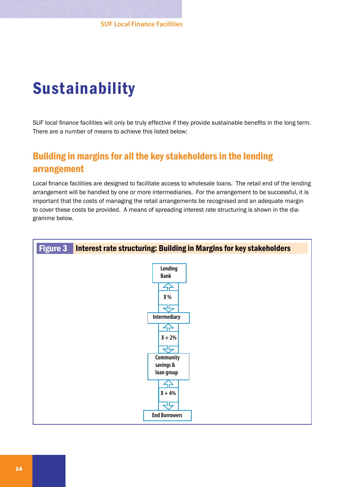# Sustainability

SUF local finance facilities will only be truly effective if they provide sustainable benefits in the long term. There are a number of means to achieve this listed below:

## Building in margins for all the key stakeholders in the lending arrangement

Local finance facilities are designed to facilitate access to wholesale loans. The retail end of the lending arrangement will be handled by one or more intermediaries. For the arrangement to be successful, it is important that the costs of managing the retail arrangements be recognised and an adequate margin to cover these costs be provided. A means of spreading interest rate structuring is shown in the diagramme below.

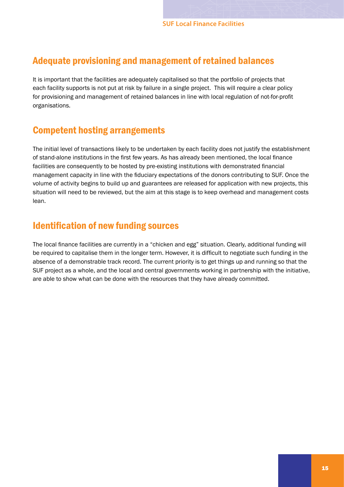#### Adequate provisioning and management of retained balances

It is important that the facilities are adequately capitalised so that the portfolio of projects that each facility supports is not put at risk by failure in a single project. This will require a clear policy for provisioning and management of retained balances in line with local regulation of not-for-profit organisations.

### Competent hosting arrangements

The initial level of transactions likely to be undertaken by each facility does not justify the establishment of stand-alone institutions in the first few years. As has already been mentioned, the local finance facilities are consequently to be hosted by pre-existing institutions with demonstrated financial management capacity in line with the fiduciary expectations of the donors contributing to SUF. Once the volume of activity begins to build up and guarantees are released for application with new projects, this situation will need to be reviewed, but the aim at this stage is to keep overhead and management costs lean.

#### Identification of new funding sources

The local finance facilities are currently in a "chicken and egg" situation. Clearly, additional funding will be required to capitalise them in the longer term. However, it is difficult to negotiate such funding in the absence of a demonstrable track record. The current priority is to get things up and running so that the SUF project as a whole, and the local and central governments working in partnership with the initiative, are able to show what can be done with the resources that they have already committed.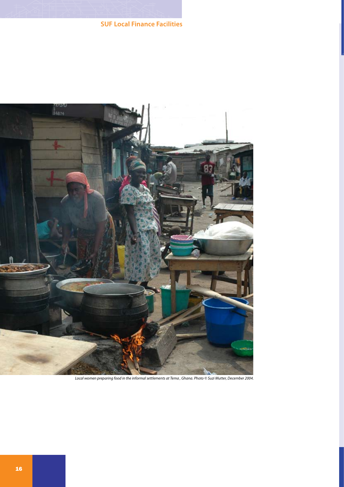

*Local women preparing food in the informal settlements at Tema , Ghana. Photo © Suzi Mutter, December 2004.*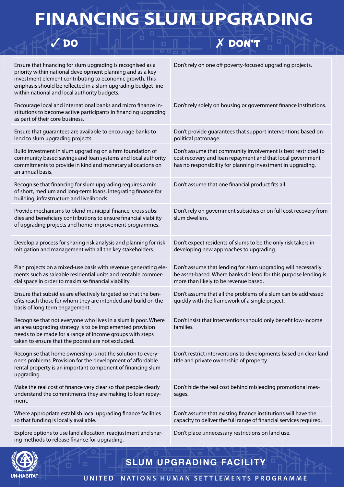# **FINANCING SLUM UPGRADING**

 $\sqrt{DQ}$ 

## X DON'T

| Ensure that financing for slum upgrading is recognised as a<br>priority within national development planning and as a key<br>investment element contributing to economic growth. This<br>emphasis should be reflected in a slum upgrading budget line<br>within national and local authority budgets. | Don't rely on one off poverty-focused upgrading projects.                                                                                                                                  |
|-------------------------------------------------------------------------------------------------------------------------------------------------------------------------------------------------------------------------------------------------------------------------------------------------------|--------------------------------------------------------------------------------------------------------------------------------------------------------------------------------------------|
| Encourage local and international banks and micro finance in-<br>stitutions to become active participants in financing upgrading<br>as part of their core business.                                                                                                                                   | Don't rely solely on housing or government finance institutions.                                                                                                                           |
| Ensure that guarantees are available to encourage banks to<br>lend to slum upgrading projects.                                                                                                                                                                                                        | Don't provide guarantees that support interventions based on<br>political patronage.                                                                                                       |
| Build investment in slum upgrading on a firm foundation of<br>community based savings and loan systems and local authority<br>commitments to provide in kind and monetary allocations on<br>an annual basis.                                                                                          | Don't assume that community involvement is best restricted to<br>cost recovery and loan repayment and that local government<br>has no responsibility for planning investment in upgrading. |
| Recognise that financing for slum upgrading requires a mix<br>of short, medium and long-term loans, integrating finance for<br>building, infrastructure and livelihoods.                                                                                                                              | Don't assume that one financial product fits all.                                                                                                                                          |
| Provide mechanisms to blend municipal finance, cross subsi-<br>dies and beneficiary contributions to ensure financial viability<br>of upgrading projects and home improvement programmes.                                                                                                             | Don't rely on government subsidies or on full cost recovery from<br>slum dwellers.                                                                                                         |
| Develop a process for sharing risk analysis and planning for risk<br>mitigation and management with all the key stakeholders.                                                                                                                                                                         | Don't expect residents of slums to be the only risk takers in<br>developing new approaches to upgrading.                                                                                   |
| Plan projects on a mixed-use basis with revenue generating ele-<br>ments such as saleable residential units and rentable commer-<br>cial space in order to maximise financial viability.                                                                                                              | Don't assume that lending for slum upgrading will necessarily<br>be asset-based. Where banks do lend for this purpose lending is<br>more than likely to be revenue based.                  |
| Ensure that subsidies are effectively targeted so that the ben-<br>efits reach those for whom they are intended and build on the<br>basis of long term engagement.                                                                                                                                    | Don't assume that all the problems of a slum can be addressed<br>quickly with the framework of a single project.                                                                           |
| Recognise that not everyone who lives in a slum is poor. Where<br>an area upgrading strategy is to be implemented provision<br>needs to be made for a range of income groups with steps<br>taken to ensure that the poorest are not excluded.                                                         | Don't insist that interventions should only benefit low-income<br>families.                                                                                                                |
| Recognise that home ownership is not the solution to every-<br>one's problems. Provision for the development of affordable<br>rental property is an important component of financing slum<br>upgrading.                                                                                               | Don't restrict interventions to developments based on clear land<br>title and private ownership of property.                                                                               |
| Make the real cost of finance very clear so that people clearly<br>understand the commitments they are making to loan repay-<br>ment.                                                                                                                                                                 | Don't hide the real cost behind misleading promotional mes-<br>sages.                                                                                                                      |
| Where appropriate establish local upgrading finance facilities<br>so that funding is locally available.                                                                                                                                                                                               | Don't assume that existing finance institutions will have the<br>capacity to deliver the full range of financial services required.                                                        |
| Explore options to use land allocation, readjustment and shar-<br>ing methods to release finance for upgrading.                                                                                                                                                                                       | Don't place unnecessary restrictions on land use.                                                                                                                                          |



**SLUM UPGRADING FACILITY**

**U N I T E D N A T I O N S H U M A N S E T T L E M E N T S P R O G R A M M E**